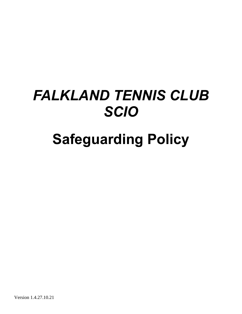# *FALKLAND TENNIS CLUB SCIO*

# **Safeguarding Policy**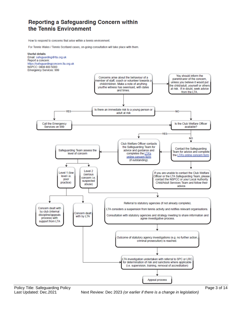### **Reporting a Safeguarding Concern within** the Tennis Environment

How to respond to concerns that arise within a tennis environment

For Tennis Wales / Tennis Scotland cases, on-going consultation will take place with them.



Policy Title: Safeguarding Policy **Policy Page 3 of 14** Policy Page 3 of 14

Last Updated: Dec.2021Next Review: Dec 2023 *(or earlier if there is a change in legislation)*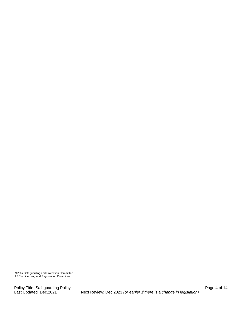SPC = Safeguarding and Protection Committee LRC = Licensing and Registration Committee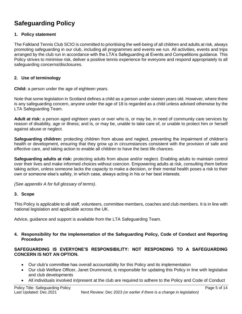# **Safeguarding Policy**

#### **1. Policy statement**

The Falkland Tennis Club SCIO is committed to prioritising the well-being of all children and adults at risk, always promoting safeguarding in our club, including all programmes and events we run. All activities, events and trips arranged by the club run in accordance with the LTA's Safeguarding at Events and Competitions guidance. This Policy strives to minimise risk, deliver a positive tennis experience for everyone and respond appropriately to all safeguarding concerns/disclosures.

#### **2. Use of terminology**

**Child:** a person under the age of eighteen years.

Note that some legislation in Scotland defines a child as a person under sixteen years old. However, where there is any safeguarding concern, anyone under the age of 18 is regarded as a child unless advised otherwise by the LTA Safeguarding Team.

**Adult at risk:** a person aged eighteen years or over who is, or may be, in need of community care services by reason of disability, age or illness; and is, or may be, unable to take care of, or unable to protect him or herself against abuse or neglect.

**Safeguarding children:** protecting children from abuse and neglect, preventing the impairment of children's health or development, ensuring that they grow up in circumstances consistent with the provision of safe and effective care, and taking action to enable all children to have the best life chances.

**Safeguarding adults at risk:** protecting adults from abuse and/or neglect. Enabling adults to maintain control over their lives and make informed choices without coercion. Empowering adults at risk, consulting them before taking action, unless someone lacks the capacity to make a decision, or their mental health poses a risk to their own or someone else's safety, in which case, always acting in his or her best interests.

*(See appendix A for full glossary of terms)*.

#### **3. Scope**

This Policy is applicable to all staff, volunteers, committee members, coaches and club members. It is in line with national legislation and applicable across the UK.

Advice, guidance and support is available from the LTA Safeguarding Team.

#### **4. Responsibility for the implementation of the Safeguarding Policy, Code of Conduct and Reporting Procedure**

#### **SAFEGUARDING IS EVERYONE'S RESPONSIBILITY: NOT RESPONDING TO A SAFEGUARDING CONCERN IS NOT AN OPTION.**

- Our club's committee has overall accountability for this Policy and its implementation
- Our club Welfare Officer, Janet Drummond, is responsible for updating this Policy in line with legislative and club developments
- All individuals involved in/present at the club are required to adhere to the Policy and Code of Conduct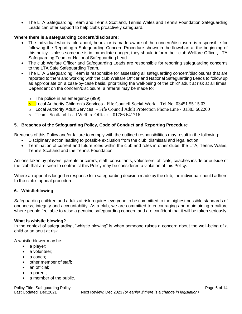• The LTA Safeguarding Team and Tennis Scotland, Tennis Wales and Tennis Foundation Safeguarding Leads can offer support to help clubs proactively safeguard.

#### **Where there is a safeguarding concern/disclosure:**

- The individual who is told about, hears, or is made aware of the concern/disclosure is responsible for following the Reporting a Safeguarding Concern Procedure shown in the flowchart at the beginning of this policy. Unless someone is in immediate danger, they should inform their club Welfare Officer, LTA Safeguarding Team or National Safeguarding Lead.
- The club Welfare Officer and Safeguarding Leads are responsible for reporting safeguarding concerns to the LTA Safe Safeguarding Team.
- The LTA Safeguarding Team is responsible for assessing all safeguarding concern/disclosures that are reported to them and working with the club Welfare Officer and National Safeguarding Leads to follow up as appropriate on a case-by-case basis, prioritising the well-being of the child/ adult at risk at all times. Dependent on the concern/disclosure, a referral may be made to:
	- $\circ$  The police in an emergency (999);
	- $\circ$  Local Authority Children's Services Fife Council Social Work Tel No. 03451 55 15 03
	- o Local Authority Adult Services Fife Council Adult Protection Phone Line 01383 602200
	- o Tennis Scotland Lead Welfare Officer 01786 641716

#### **5. Breaches of the Safeguarding Policy, Code of Conduct and Reporting Procedure**

Breaches of this Policy and/or failure to comply with the outlined responsibilities may result in the following:

- Disciplinary action leading to possible exclusion from the club, dismissal and legal action
- Termination of current and future roles within the club and roles in other clubs, the LTA, Tennis Wales, Tennis Scotland and the Tennis Foundation*.*

Actions taken by players, parents or carers, staff, consultants, volunteers, officials, coaches inside or outside of the club that are seen to contradict this Policy may be considered a violation of this Policy.

Where an appeal is lodged in response to a safeguarding decision made by the club, the individual should adhere to the club's appeal procedure.

#### **6. Whistleblowing**

Safeguarding children and adults at risk requires everyone to be committed to the highest possible standards of openness, integrity and accountability. As a club, we are committed to encouraging and maintaining a culture where people feel able to raise a genuine safeguarding concern and are confident that it will be taken seriously.

#### **What is whistle blowing?**

In the context of safeguarding, "whistle blowing" is when someone raises a concern about the well-being of a child or an adult at risk.

A whistle blower may be:

- a player;
- a volunteer:
- a coach:
- other member of staff;
- an official;
- a parent;
- a member of the public.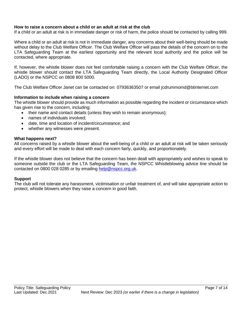#### **How to raise a concern about a child or an adult at risk at the club**

If a child or an adult at risk is in immediate danger or risk of harm, the police should be contacted by calling 999.

Where a child or an adult at risk is not in immediate danger, any concerns about their well-being should be made without delay to the Club Welfare Officer. The Club Welfare Officer will pass the details of the concern on to the LTA Safeguarding Team at the earliest opportunity and the relevant local authority and the police will be contacted, where appropriate.

If, however, the whistle blower does not feel comfortable raising a concern with the Club Welfare Officer, the whistle blower should contact the LTA Safeguarding Team directly, the Local Authority Designated Officer (LADO) or the NSPCC on 0808 800 5000.

The Club Welfare Officer Janet can be contacted on: 07936363507 or email jcdrummomd@btinternet.com

#### **Information to include when raising a concern**

The whistle blower should provide as much information as possible regarding the incident or circumstance which has given rise to the concern, including:

- their name and contact details (unless they wish to remain anonymous);
- names of individuals involved;
- date, time and location of incident/circumstance; and
- whether any witnesses were present.

#### **What happens next?**

All concerns raised by a whistle blower about the well-being of a child or an adult at risk will be taken seriously and every effort will be made to deal with each concern fairly, quickly, and proportionately.

If the whistle blower does not believe that the concern has been dealt with appropriately and wishes to speak to someone outside the club or the LTA Safeguarding Team, the NSPCC Whistleblowing advice line should be contacted on 0800 028 0285 or by emailing [help@nspcc.org.uk.](mailto:help@nspcc.org.uk)

#### **Support**

The club will not tolerate any harassment, victimisation or unfair treatment of, and will take appropriate action to protect, whistle blowers when they raise a concern in good faith.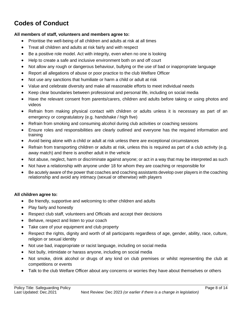# **Codes of Conduct**

#### **All members of staff, volunteers and members agree to:**

- Prioritise the well-being of all children and adults at risk at all times
- Treat all children and adults at risk fairly and with respect
- Be a positive role model. Act with integrity, even when no one is looking
- Help to create a safe and inclusive environment both on and off court
- Not allow any rough or dangerous behaviour, bullying or the use of bad or inappropriate language
- Report all allegations of abuse or poor practice to the club Welfare Officer
- Not use any sanctions that humiliate or harm a child or adult at risk
- Value and celebrate diversity and make all reasonable efforts to meet individual needs
- Keep clear boundaries between professional and personal life, including on social media
- Have the relevant consent from parents/carers, children and adults before taking or using photos and videos
- Refrain from making physical contact with children or adults unless it is necessary as part of an emergency or congratulatory (e.g. handshake / high five)
- Refrain from smoking and consuming alcohol during club activities or coaching sessions
- Ensure roles and responsibilities are clearly outlined and everyone has the required information and training
- Avoid being alone with a child or adult at risk unless there are exceptional circumstances
- Refrain from transporting children or adults at risk, unless this is required as part of a club activity (e.g. away match) and there is another adult in the vehicle
- Not abuse, neglect, harm or discriminate against anyone; or act in a way that may be interpreted as such
- Not have a relationship with anyone under 18 for whom they are coaching or responsible for
- Be acutely aware of the power that coaches and coaching assistants develop over players in the coaching relationship and avoid any intimacy (sexual or otherwise) with players

#### **All children agree to:**

- Be friendly, supportive and welcoming to other children and adults
- Play fairly and honestly
- Respect club staff, volunteers and Officials and accept their decisions
- Behave, respect and listen to your coach
- Take care of your equipment and club property
- Respect the rights, dignity and worth of all participants regardless of age, gender, ability, race, culture, religion or sexual identity
- Not use bad, inappropriate or racist language, including on social media
- Not bully, intimidate or harass anyone, including on social media
- Not smoke, drink alcohol or drugs of any kind on club premises or whilst representing the club at competitions or events
- Talk to the club Welfare Officer about any concerns or worries they have about themselves or others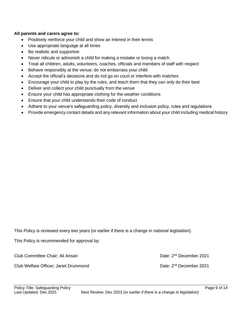#### **All parents and carers agree to:**

- Positively reinforce your child and show an interest in their tennis
- Use appropriate language at all times
- Be realistic and supportive
- Never ridicule or admonish a child for making a mistake or losing a match
- Treat all children, adults, volunteers, coaches, officials and members of staff with respect
- Behave responsibly at the venue; do not embarrass your child
- Accept the official's decisions and do not go on court or interfere with matches
- Encourage your child to play by the rules, and teach them that they can only do their best
- Deliver and collect your child punctually from the venue
- Ensure your child has appropriate clothing for the weather conditions
- Ensure that your child understands their code of conduct
- Adhere to your venue's safeguarding policy, diversity and inclusion policy, rules and regulations
- Provide emergency contact details and any relevant information about your child including medical history

This Policy is reviewed every two years (or earlier if there is a change in national legislation).

This Policy is recommended for approval by:

Club Committee Chair; Ali Ansari

Club Welfare Officer; Janet Drummond

Date: 2<sup>nd</sup> December 2021

Date: 2<sup>nd</sup> December 2021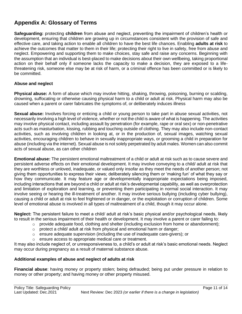## **Appendix A: Glossary of Terms**

**Safeguarding:** protecting **children** from abuse and neglect, preventing the impairment of children's health or development, ensuring that children are growing up in circumstances consistent with the provision of safe and effective care, and taking action to enable all children to have the best life chances. Enabling **adults at risk** to achieve the outcomes that matter to them in their life; protecting their right to live in safety, free from abuse and neglect. Empowering and supporting them to make choices, stay safe and raise any concerns. Beginning with the assumption that an individual is best-placed to make decisions about their own wellbeing, taking proportional action on their behalf only if someone lacks the capacity to make a decision, they are exposed to a lifethreatening risk, someone else may be at risk of harm, or a criminal offence has been committed or is likely to be committed.

#### **Abuse and neglect**

**Physical abuse:** A form of abuse which may involve hitting, shaking, throwing, poisoning, burning or scalding, drowning, suffocating or otherwise causing physical harm to a child or adult at risk. Physical harm may also be caused when a parent or carer fabricates the symptoms of, or deliberately induces illness

**Sexual abuse:** Involves forcing or enticing a child or young person to take part in abuse sexual activities, not necessarily involving a high level of violence, whether or not the child is aware of what is happening. The activities may involve physical contact, including assault by penetration (for example, rape or oral sex) or non-penetrative acts such as masturbation, kissing, rubbing and touching outside of clothing. They may also include non-contact activities, such as involving children in looking at, or in the production of, sexual images, watching sexual activities, encouraging children to behave in sexually inappropriate ways, or grooming a child in preparation for abuse (including via the internet). Sexual abuse is not solely perpetrated by adult males. Women can also commit acts of sexual abuse, as can other children

**Emotional abuse:** The persistent emotional maltreatment of a child or adult at risk such as to cause severe and persistent adverse effects on their emotional development. It may involve conveying to a child/ adult at risk that they are worthless or unloved, inadequate, or valued only insofar as they meet the needs of another person; not giving them opportunities to express their views; deliberately silencing them or 'making fun' of what they say or how they communicate. It may feature age or developmentally inappropriate expectations being imposed, including interactions that are beyond a child or adult at risk's developmental capability, as well as overprotection and limitation of exploration and learning, or preventing them participating in normal social interaction. It may involve seeing or hearing the ill-treatment of another. It may involve serious bullying (including cyber bullying), causing a child or adult at risk to feel frightened or in danger, or the exploitation or corruption of children. Some level of emotional abuse is involved in all types of maltreatment of a child, though it may occur alone.

**Neglect:** The persistent failure to meet a child/ adult at risk's basic physical and/or psychological needs, likely to result in the serious impairment of their health or development. It may involve a parent or carer failing to:

- $\circ$  provide adequate food, clothing and shelter (including exclusion from home or abandonment);
- o protect a child/ adult at risk from physical and emotional harm or danger;
- $\circ$  ensure adequate supervision (including the use of inadequate care-givers); or
- o ensure access to appropriate medical care or treatment.

It may also include neglect of, or unresponsiveness to, a child's or adult at risk's basic emotional needs. Neglect may occur during pregnancy as a result of maternal substance abuse.

#### **Additional examples of abuse and neglect of adults at risk**

**Financial abuse**: having money or property stolen; being defrauded; being put under pressure in relation to money or other property; and having money or other property misused.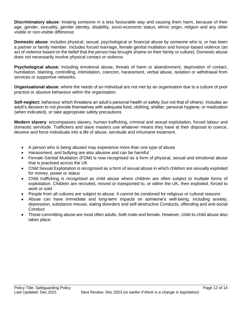**Discriminatory abuse**: treating someone in a less favourable way and causing them harm, because of their age, gender, sexuality, gender identity, disability, socio-economic status, ethnic origin, religion and any other visible or non-visible difference.

**Domestic abuse**: includes physical, sexual, psychological or financial abuse by someone who is, or has been a partner or family member. Includes forced marriage, female genital mutilation and honour-based violence (an act of violence based on the belief that the person has brought shame on their family or culture). Domestic abuse does not necessarily involve physical contact or violence.

**Psychological abuse:** including emotional abuse, threats of harm or abandonment, deprivation of contact, humiliation, blaming, controlling, intimidation, coercion, harassment, verbal abuse, isolation or withdrawal from services or supportive networks.

**Organisational abuse**: where the needs of an individual are not met by an organisation due to a culture of poor practice or abusive behaviour within the organisation.

**Self-neglect:** behaviour which threatens an adult's personal health or safety (but not that of others). Includes an adult's decision to not provide themselves with adequate food, clothing, shelter, personal hygiene, or medication (when indicated), or take appropriate safety precautions

**Modern slavery**: encompasses slavery, human trafficking, criminal and sexual exploitation, forced labour and domestic servitude. Traffickers and slave masters use whatever means they have at their disposal to coerce, deceive and force individuals into a life of abuse, servitude and inhumane treatment.

- A person who is being abused may experience more than one type of abuse
- Harassment, and bullying are also abusive and can be harmful
- Female Genital Mutilation (FGM) is now recognised as a form of physical, sexual and emotional abuse that is practised across the UK
- Child Sexual Exploitation is recognised as a form of sexual abuse in which children are sexually exploited for money, power or status
- Child trafficking is recognised as child abuse where children are often subject to multiple forms of exploitation. Children are recruited, moved or transported to, or within the UK, then exploited, forced to work or sold
- People from all cultures are subject to abuse. It cannot be condoned for religious or cultural reasons
- Abuse can have immediate and long-term impacts on someone's well-being, including anxiety, depression, substance misuse, eating disorders and self-destructive Conducts, offending and anti-social **Conduct**
- Those committing abuse are most often adults, both male and female. However, child-to-child abuse also takes place.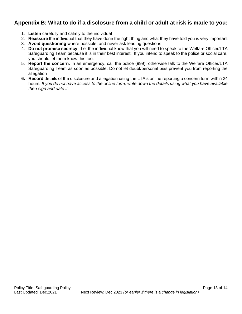### **Appendix B: What to do if a disclosure from a child or adult at risk is made to you:**

- 1. **Listen** carefully and calmly to the individual
- 2. **Reassure** the individual that they have done the right thing and what they have told you is very important
- 3. **Avoid questioning** where possible, and never ask leading questions
- 4. **Do not promise secrecy**. Let the individual know that you will need to speak to the Welfare Officer/LTA Safeguarding Team because it is in their best interest. If you intend to speak to the police or social care, you should let them know this too.
- 5. **Report the concern.** In an emergency, call the police (999), otherwise talk to the Welfare Officer/LTA Safeguarding Team as soon as possible. Do not let doubt/personal bias prevent you from reporting the allegation
- **6. Record** details of the disclosure and allegation using the LTA's online reporting a concern form within 24 hours*. If you do not have access to the online form, write down the details using what you have available then sign and date it.*